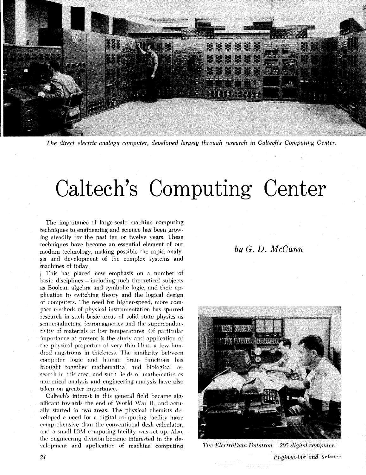

*The direct electric analogy computer, developed largely through research in Caltech's Computing Center.* 

# Caltech's Computing Center

The importance of large-scale machine computing techniques to engineering and science has been growing steadily for the past ten or twelve years. These techniques have become an essential element of our modern technology, making possible the rapid analysis and development of the complex systems and machines of today.

**<sup>1</sup>**This has placed new emphasis on a number of basic disciplines – including such theoretical subjects as Boolean algebra and symbolic logic, and their application to switching theory and the logical design of computers. The need for higher-speed, more compact methods of physical instrumentation has spurred research in such basic areas of solid state physics as semiconductors, ferromagnetics and the superconductivity of materials at low temperatures. Of particular importance at present is the study and application of the physical properties of very thin films, a few hundred angstroms in thickness. The similarity between computer logic and human brain functions has brought together mathematical and biological re search in this area, and such fields of mathematics as numerical analysis and engineering analysis have also taken on greater importance.

Caltech's interest in this general field became significant towards the end of World War **11,** and actually started in two areas. The physical chemists developed a need for a digital computing facility more comprehensive than the conventional desk calculator. and a small IBM computing facility was set up. Also, the engirieerinq division became interested in the development and application of machine computing

# $bu\ G. D. McCann$



The ElectroData Datatron - 205 digital computer.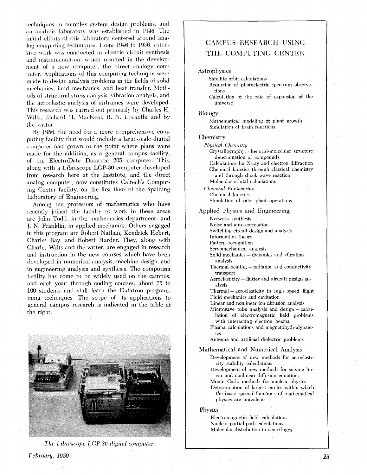techniques to complex system design problems, and an analysis laboratory was established in 1946. The initial efforts of this laboratory centered around analog computing techniques. From 1946 to 1956, extensive work was conducted in electric circuit synthesis and instrumentation, which resulted in the development of a new computer, the direct analogy computer. Applications of this computing technique were made to design analysis problems in the fields of solid mechanics, fluid mechanics, and heat transfer. Methods of structural stress analysis, vibration analysis, and the aeroelastic analysis of airframes were developed. This research was carried out primarily **by** Charles H. Wilts, Richard H. MacNeal, B. N. Locanthi and by the writer.

B) 1956. the need for **d** more comprehensive computing facility that mould include a large-scde digital computer had grown to the point where plans were made for the addition, as a general campus facility, of tlie ElectroData Datatron 205 computer. This, along with a Librascope LGP-30 computer developed from research here at the Institute, and the direct analog computer, now constitutes Caltech's Computing Center facility, on the first floor of the Spalding Laboratory of Engineering.

Among the professors of mathematics who have recently joined the faculty to work in these areas are John Todd, in the mathematics department; and J. N. Franklin, in applied mechanics. Others engaged in this program are Robert Nathan, Kendrick Hebert, Charles Ray, and Robert Harder. They, along with Charles Wilts and the writer, are engaged in research and instruction in the new courses which have been developed in numerical analysis, machine design, and in engineering analysis and synthesis. The computing facility has come to be widely used on the campus, and each year, through coding courses, about 75 to 100 students and staff learn the Datatron programming teclmiques. The scope of its applications to general campus research is indicated in the table at the right.



*The Ltibruscope* 1,GP-30 *digital computer.* 

# **CAMPUS** RESEARCH USING THE COMPUTING CENTER

#### Astrophysics

Satellite orbit calculations

Reduction of photoelectric spectrum observations

Calculation **oi** the rate of expansion of the universe

Biology

Mathematical modeling of plant growth Simulation of brain functions

#### **Chemistry**

*Physical Chemistry* 

Crystallography, chemical-molecular structure determination of compounds Calculations for X-ray and electron diffraction

Chemical kinetics through classical chemistry and through shock wave reaction Molecular orbital calculations

*Chemical Engineering* 

Chemical kinetics Simulation of pilot plant operations

Applied Physics and Engineering

Network synthesis

Noise and auto-correlation

Switching circuit design and analysis Information theory

Pattern recognition

Servomechanism analysis

- Solid mechanics dynamics and vibration analysis
- Thermal heating radiation and conductivity transport
- Aeroelasticity flutter and aircraft design analysis

 $Thermal - aeroelasticity$  in high speed flight Fluid mechanics and cavitation

Linear and nonlinear ion diffusion analysis

Microwave tube analysis and design - calculation of electromagnetic field problems with interacting electron beams

- Plasma calculations and magnetohydrcdynamics
- Antenna and artificial dielectric problems

Mathematical and Numerical Analysis

- Development of new methods for aeroelasticity stability calculations
- Development **of** new methods for solving linear and nonlinear diffusion equations Monte Carlo methods for nuclear physics
- Determination of largest circles within which the basic special functions of mathematical physics are univalent

#### Physics

Electromagnetic field calculations Nuclear partial path calculations Molecular distribution in centrifuges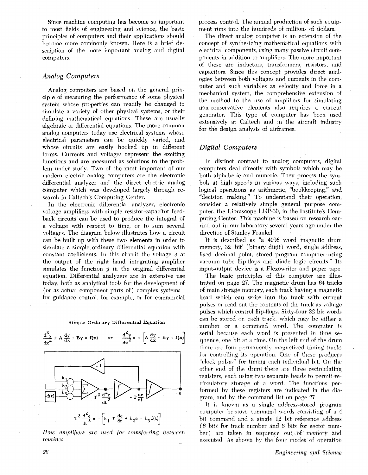Since machine computing has become so important to most fields of engineering and science, the basic principles of computers and their applications should become more commonly known. Here is a brief description of the more important analog and digital computers.

## *Analog Computers*

Analog computers are based on the general principle of measuring the performance of some physical system whose properties can readily be changed to simulate a variety of other physical systems, or their defining mathematical equations. These are usually algebraic or differential equations. The more common analog computers today use electrical systems whose electrical parameters can be quickly varied, and whose circuits are easily hooked up in different forms. Currents and voltages represent the exciting functions and are measured as solutions to the problem under study. Two of the most important of our modern electric analog computers are the electronic differential analyzer and the direct electric analog computer which was developed largely through research in Caltech's Computing Center.

In the electronic differential analyzer, electronic voltage amplifiers with simple resistor-capacitor feedback circuits can be used to produce the integral of a voltage with respect to time, or to sum several voltages. The diagram below illustrates how a circuit can be built up with these two elements in order to simulate a simple ordinary differential equation with constant coefficients. In this circuit the voltage *e* at the output of the right hand integrating amplifier simulates the function  $y$  in the original differential equation. Differential analyzers are in extensive use today, both as analytical tools for the development of (or as actual component parts of) complex systemsfor guidance control, for example, or for commercial





*How amplifiers are used for transferring between*  $routines$ 

process control. The annual production of such equipment runs into the hundreds of millions of dollars.

The direct analog computer is an extension of the concept of synthesizing mathematical equations with electrical components, using many passive circuit components in addition to amplifiers. The more important of these are inductors, transformers, resistors, and capacitors. Since this concept provides direct analogies between both voltages and currents in the computer and such variables as velocity and force in a mechanical system, the comprehensive extension of the method to the use of amplifiers for simulating non-conservative elements also requires a current generator. This type of computer has been used extensively at Caltech and in the aircraft industry for the design analysis of airframes.

## *Digital Computers*

In distinct contrast to analog computers, digital computers deal directly with symbols which may be both alphabetic and numeric. They process the symbols at high speeds in various ways, including such logical operations as arithmetic, "bookkeeping," and "decision making." To understand their operation, consider a relatively simple general purpose computer, the Librascope LGP-30, in the Institute's Cornputing Center. This machine is based on research carried out in our laboratory several years ago under the direction of Stanley Frankel.

It is described as "a 4096 word magnetic drum memory, 32 'bit' (binary digit) word, single address, fixed decimal point, stored program computer using vacuum tube flip-flops and diode logic circuits." Its input-output device is a Flexowriter and paper tape.

The basic principles of this computer are illustrated on page 27. The magnetic drum has 64 tracks of main storage memory, each track having a magnetic head which can write into the track with current pulses or read out the contents of the track as voltage pulses which control flip-flops. Sixty-four 32 bit words can be stored on each track, which may be either a number or a command word. The computer is serial because each word is presented in time sequence, one bit at a time. On the left end of the drum there are four permanently magnetized timing tracks for controlling its operation. One of these produces "clock pulses" for timing each individual bit. On the other end of the drum there are three recirculating registers, each using two separate heads to permit re $circ$  storage of a word. The functions performed bv these registers are indicated in the diagram, and by the command list on page  $27$ .

It is known as a single address-stored program computer because command nords cowisting of a **<sup>4</sup>** bit command and a single 12 bit reference address (6 bits for track number and 6 bits for sector **num**ber) are taken in sequence out of memory and executed. As shown by the four modes of operation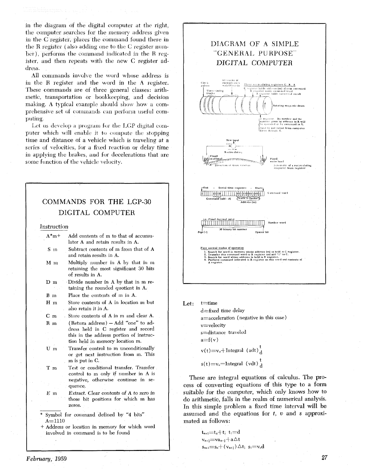in the diagram ot the digital computer at the right, the computer searches for the memory address given **iii** the *C* register, places the command found there in the **R** register (also adding one to the *C* register number), performs the command indicated in the R register, and then repeats with the new C register address.

All commands involve the word whose address is in the R register and the word in the A register. These commands are of three general classes: aritlimetic, transportation or bookkeeping, and decision making. A typical example should show how a comprehensive set of commands can perform useful computing.

Let us develop a program for the LGP digital computer which will enable it to compute the stopping time and distance of a vehicle which is traveling at a series of velocities, for a fixed reaction or delay time in applying the brakes, and for decelerations that are some function of the vehicle velocity.

#### COMMANDS FOR THE LGP-30 DIGITAL COMPUTER Instruction  $A^*m+$ Add contents of m to that of accumulator **A** and retain results in A. Subtract contents of m from that of A S m and retain results in A.  $M$  m Multiply number in A by that in m retaining the most significant 30 bits of results in A.  $D$  m Divide number in A by that in m retaining the rounded quotient in A.  $B$  m Place the contents of m in A. Store contents of **A** in location ni but  $H$  m also retain it in A,  $C_{m}$ Store contents of A in m and clear A.  $(Return address) - Add "one" to add R$  m dress held in C register and record this in the address portion of instruction held in memory location m. Transfer control to m unconditionally U m or get next instruction from m. This m is put in **C.**  T m Test or conditional transfer. Transfer control to m only if number in A is negative, otherwise continue in sequence. Extract. Clear contents of **A** to zero in  ${\bf E}$  m those bit positions for which in has zeros. Symbol for command defined by "4 bits" **A=lllO**

+ Address or location in memory for which word involved in command is to be found



 $L$ et:  $t=time$ 

 $d$ =fixed time delay a=acceleration (negative in this case) v=velocity s=distance traveled  $a=f(v)$  $v(t) = v_0 + \text{Integral (adt)} \frac{t}{d}$  $s(t)=v_0=$ Integral (vdt)<sup>t</sup><sub>d</sub>

These are integral equations of calculus. The process of converting equations of this type to a form suitable for the computer, which only knows how to do arithmetic, falls in the realm of numerical analysis. In this simple problem a fixed time interval will be assumed and the equations for *t,* v and **s** approximated as follows:

> $t_{n+1} = t_n + t$ ;  $t_1 = d$  $v_{n+1} = va_{n-1} + a\Delta t$  $s_{n+1}=s_n + (v_{n+\frac{1}{2}}) \triangle t$ ;  $s_1 = v_0$ d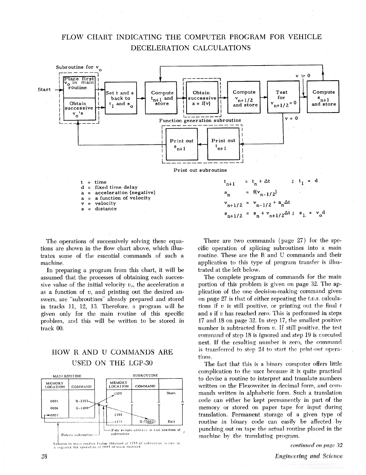# FLOW CHART INDICATING THE COMPUTER PROGRAM FOR VEHICLE DECELERATION CALCULATIONS



The operations of successively solving these equations are shown in the flow chart above, which illustrates some of the essential commands of such a machine.

In preparing a program from this chart, it will be assumed that the processes of obtaining each successive value of the initial velocity  $v_{\theta}$ , the acceleration  $\theta$ as a function of **v,** and printing out the desired answers, are "subroutines" already prepared and stored in tracks 11, 12, 13. Therefore, a program will be given only for the main routine of this specific problem, and this will be written to be stored in track **00,** 

# HOW R AND U COMMANDS ARE USED ON THE LGP-30



Returns to main routine (value obtained at 1155 of subroutine is now in A register for operation of 0007 of main routine)

There are two commands (page 27) for the specific operation of splicing subroutines into a main routine. These are the R and U commands and their application to this type of program transfer is illustrated at the left below.

The complete program of commands for the main portion of this problem is given on page 32. The application of the one decision-making command given on page 27 is that of either repeating the **t.v.s.** calculations if **v** is still positive. or printing out the final t and **s** if v has reached **zero.** This is performed in steps 17 and 18 on page **32.** In step 17, the smallest positive number is subtracted from **v.** If still positive, the test command of step 18 is ignored and step 19 is executed next. If the resulting number is zero, the command is transferred to step 24 to start the print-out operations.

The fact that this is a binary computer offers little complication to the user because it is quite practical to devise a routine to interpret and translate numbers written on the Flexowriter in decimal form, and commands written in alphabetic form. Such a translation code can either be kept permanently in part **of** the memory or stored on paper tape for input during translation. Permanent storage of a given type **of**  routine in binary code can easily be affected by punching out on tape the actual routine placed in the machine by the translating program.

continued on page 32

**Engineering and Science**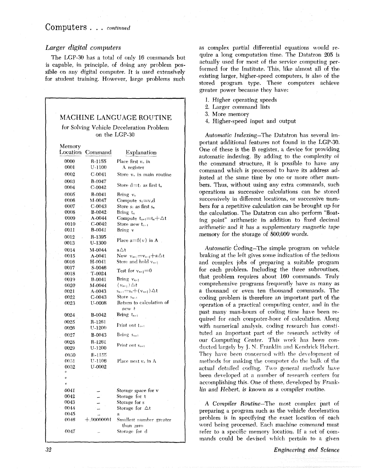## Computers . . . *continued*

## *Larger digital computers*

The LGP-30 has a total of only 16 commands but is capable. in principle, of doing any problem possible on any digital computer. It is used extensively for student training. However, large problems such

|                                                           |                    | MACHINE LANGUAGE ROUTINE                                        |  |
|-----------------------------------------------------------|--------------------|-----------------------------------------------------------------|--|
| for Solving Vehicle Deceleration Problem<br>on the LGP-30 |                    |                                                                 |  |
| Memory<br>Location                                        | Command            | Explanation                                                     |  |
|                                                           |                    |                                                                 |  |
| 0000                                                      | R-1155             | Place first v <sub>o</sub> in                                   |  |
| 0001                                                      | U-1100             | A register                                                      |  |
| 0002                                                      | $C-0041$           | Store $v_0$ in main routine                                     |  |
| 0003                                                      | B-0047             | Store d≔t∟as first t.                                           |  |
| 0004                                                      | C-0042             |                                                                 |  |
| 0005                                                      | <b>B-0041</b>      | Bring $v_0$                                                     |  |
| 0006                                                      | M-0047             | Compute $s_1 = v_0 d$                                           |  |
| 0007                                                      | $C-0043$           | Store $s_i$ as first $s_n$                                      |  |
| 0008                                                      | $B-0042$           | Bring t <sub>a</sub>                                            |  |
| 0009<br>0010                                              | A-0044<br>$C-0042$ | Compute $t_{n+1} = t_n + \Delta t$ .                            |  |
| 0011                                                      | B-0041             | Store new ${\sf t}_{\scriptscriptstyle{\rm n+i}}$<br>Bring v    |  |
|                                                           |                    |                                                                 |  |
| 0012                                                      | R-1395<br>U-1300   | Place $a=f(v)$ in A                                             |  |
| 0013                                                      |                    |                                                                 |  |
| 0014                                                      | M-0044             | a∆t                                                             |  |
| 0015<br>0016                                              | A-0041<br>H-0041   | New $v_{n+i} = v_{n-i} + a\Delta t$<br>Store and hold $v_{n+1}$ |  |
| 0017                                                      | S-0046             |                                                                 |  |
| 0018                                                      | <b>T-0024</b>      | Test for $v_{n+i} = 0$                                          |  |
| 0019                                                      | <b>B-0041</b>      | Bring $v_{n+i}$                                                 |  |
| 0020                                                      | M-0044             | $(v_{n+i}) \triangle t$                                         |  |
| 0021                                                      | A-0043             | $s_{n+1} = s_n + (v_{n+\frac{1}{2}}) \triangle t$               |  |
| 0022                                                      | $C-0043$           | Store $s_{n+1}$                                                 |  |
| 0023                                                      | <b>U-0008</b>      | Return to calculation of<br>new t                               |  |
| 0024                                                      | <b>B-0042</b>      | Bring $t_{n+1}$                                                 |  |
| 0025                                                      | R-1261             |                                                                 |  |
| 0026                                                      | U-1200             | Print out $t_{n+1}$                                             |  |
| 0027                                                      | <b>B-0043</b>      | Bring $s_{n+1}$                                                 |  |
| 0028                                                      | R-1261             |                                                                 |  |
| 0029                                                      | U-1200             | Print out $S_{n+1}$                                             |  |
| 0030                                                      | R-1155             |                                                                 |  |
| 0031                                                      | U-1106             | Place next v <sub>o</sub> in A                                  |  |
| 0032                                                      | U-0002             |                                                                 |  |
| o                                                         |                    |                                                                 |  |
| o                                                         |                    |                                                                 |  |
| o                                                         |                    |                                                                 |  |
| 0041                                                      |                    | Storage space for v                                             |  |
| 0042                                                      |                    | Storage for t                                                   |  |
| 0043                                                      |                    | Storage for s                                                   |  |
| 0044                                                      |                    | Storage for $\Delta t$                                          |  |
| 0045<br>0046                                              | $+.00000001$       | a<br>Smallest number greater                                    |  |
|                                                           |                    | than zero                                                       |  |
| 0047                                                      |                    | Storage for d                                                   |  |

as complex partial differential equations would require a long computation time. The Datatron 205 is actually used for most of the service computing performed for the Institute. This, like almost all of the existing larger, higher-speed computers, is also of the stored program type. These computers achieve greater power because they have:

1. Higher operating speeds

- 2. Larger command lists
- **3.** More memory

4. Higher-speed input and output

Automatic Indexing-The Datatron has several important additional features not found in the LGP-30. One of these is the **B** register, a device for providing automatic indexing. By adding to the complexity of the command structure, it is possible to have any command which is processed to have its address adjusted at the same time by one or more other numbers. Thus, without using any extra commands, such operations as successive calculations can be stored successively in different locations, or successive numbers for a repetitive calculation can be brought up for the calculation. The Datatron can also perform "floating point" arithmetic in addition to fixed decimal arithmetic and it has a supplementary magnetic tape memory for the storage of 800,000 words.

Automatic Coding–The simple program on vehicle braking at the left gives some indication of the tedious and complex jobs of preparing a suitable prograrn for each problem. Including the three subroutines, that problem, requires about 160 commands. Truly comprehensive programs frequently have as many as a thousand or even ten thousand commands. The coding problem is therefore an important part of the operation of a practical computing center, and in the past many man-hours of coding time have been required for each computer-hour of calculation. Along with numerical analysis, coding research has constituted an important part of the research activity of our Computing Center. This work has been conducted largely by J. N. Franklin and Kendrick Hebert. They have been concerned with the development of methods tot making the computer do the bulk of the actual detailed coding. Two general methods have been developed at a number of research centers for accomplishing this. One of these, developed by Franklin and Hebert, is known as a compiler routine.

**A** Compiler Routine-The most complex part of preparing a program such as the vehicle deceleration problem is in specifying the exact location of each word being processed. Each machine command must refer to a specific memory location. If a set of comrnands could be devised which pertain to a given